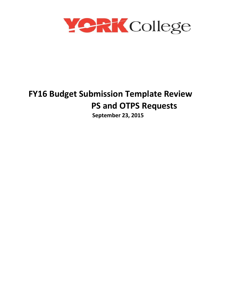

# **FY16 Budget Submission Template Review PS and OTPS Requests**

 **September 23, 2015**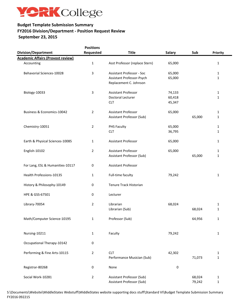

# **FY2016 Division/Department - Position Request Review September 23, 2015 Budget Template Submission Summary**

**Positions** 

|                                          | POSITIONS      |                                  |               |        |             |
|------------------------------------------|----------------|----------------------------------|---------------|--------|-------------|
| <b>Division/Department</b>               | Requested      | <b>Title</b>                     | <b>Salary</b> | Sub    | Priority    |
| <b>Academic Affairs (Provost review)</b> |                |                                  |               |        |             |
| Accounting                               | $\mathbf 1$    | Asst Professor (replace Stern)   | 65,000        |        | 1           |
| Behavorial Sciences-10028                | $\mathbf{3}$   | <b>Assistant Professor - Soc</b> | 65,000        |        | 1           |
|                                          |                | Assistant Professor-Psych        | 65,000        |        | 1           |
|                                          |                | Replacement C. Johnson           |               |        |             |
|                                          |                |                                  |               |        |             |
| Biology-10033                            | 3              | Assistant Professor              | 74,133        |        | 1           |
|                                          |                | Doctoral Lecturer                | 60,418        |        | 1           |
|                                          |                | <b>CLT</b>                       | 45,347        |        |             |
|                                          |                |                                  |               |        |             |
| Business & Economics-10042               | $\overline{2}$ | <b>Assistant Professor</b>       | 65,000        |        | 1           |
|                                          |                | Assistant Professor (Sub)        |               | 65,000 | 1           |
| Chemistry-10051                          | $\overline{2}$ | PHS Faculty                      | 65,000        |        | 1           |
|                                          |                | <b>CLT</b>                       | 36,795        |        |             |
|                                          |                |                                  |               |        | 1           |
| Earth & Physical Sciences-10085          | $\mathbf{1}$   | Assistant Professor              | 65,000        |        | 1           |
|                                          |                |                                  |               |        |             |
| English-10102                            | $\overline{2}$ | <b>Assistant Professor</b>       | 65,000        |        | 1           |
|                                          |                | Assistant Professor (Sub)        |               | 65,000 | 1           |
|                                          |                |                                  |               |        |             |
| For Lang, ESL & Humanities-10117         | $\pmb{0}$      | Assistant Professor              |               |        |             |
|                                          |                |                                  |               |        |             |
| Health Professions-10135                 | $\mathbf{1}$   | Full-time faculty                | 79,242        |        | 1           |
| History & Philosophy-10149               | $\pmb{0}$      | Tenure Track Historian           |               |        |             |
|                                          |                |                                  |               |        |             |
| HPE & GSS-67501                          | $\pmb{0}$      | Lecturer                         |               |        |             |
|                                          |                |                                  |               |        |             |
| Library-70054                            | $\overline{2}$ | Librarian                        | 68,024        |        | 1           |
|                                          |                | Librarian (Sub)                  |               | 68,024 | 1           |
|                                          |                |                                  |               |        |             |
| Math/Computer Science-10195              | $\mathbf{1}$   | Professor (Sub)                  |               | 64,956 | 1           |
|                                          |                |                                  |               |        |             |
| Nursing-10211                            | $\mathbf{1}$   | Faculty                          | 79,242        |        | 1           |
|                                          |                |                                  |               |        |             |
| Occupational Therapy-10142               | 0              |                                  |               |        |             |
|                                          |                |                                  |               |        |             |
| Performing & Fine Arts-10115             | $\overline{2}$ | <b>CLT</b>                       | 42,302        |        | 1           |
|                                          |                | Performance Musician (Sub)       |               | 71,073 | 1           |
|                                          |                |                                  |               |        |             |
| Registrar-80268                          | $\mathbf 0$    | None                             | $\mathbf 0$   |        |             |
| Social Work-10281                        | $\overline{2}$ | Assistant Professor (Sub)        |               | 68,024 | 1           |
|                                          |                | Assistant Professor (Sub)        |               | 79,242 | $\mathbf 1$ |
|                                          |                |                                  |               |        |             |

S:\Documents\Website\MiddleStates Webstuff\MiddleStates website supporting docs stuff\Standard VI\Budget Template Submission Summary FY2016 092215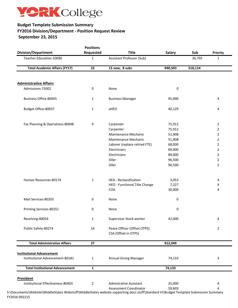

# **Budget Template Submission Summary FY2016 Division/Department - Position Request Review September 23, 2015**

| <b>Division/Department</b>             | <b>Positions</b><br>Requested | <b>Title</b>                                        | <b>Salary</b> | Sub     | Priority       |
|----------------------------------------|-------------------------------|-----------------------------------------------------|---------------|---------|----------------|
| Teacher Education-10090                | 1                             | Assistant Professor (Sub)                           |               | 36,795  | $\mathbf 1$    |
|                                        |                               |                                                     |               |         |                |
| <b>Total Academic Affairs (FY17)</b>   | 23                            | 15 new, 8 subs                                      | 940,503       | 518,114 |                |
| <b>Administrative Affairs</b>          |                               |                                                     |               |         |                |
| Admissions-75002                       | 0                             | None                                                | 0             |         |                |
| <b>Business Office-80045</b>           | 1                             | <b>Business Manager</b>                             | 95,000        |         | 4              |
| Budget Office-80037                    | $\mathbf{1}$                  | aHEO                                                | 40,129        |         | 4              |
|                                        |                               |                                                     |               |         |                |
| Fac Planning & Operations-80048        | 9                             | Carpenter                                           | 75,912        |         | 2              |
|                                        |                               | Carpenter                                           | 75,912        |         | $\overline{2}$ |
|                                        |                               | Maintenance Mechanic                                | 51,908        |         | $\overline{2}$ |
|                                        |                               | Maintenance Mechanic                                | 51,908        |         | $\overline{2}$ |
|                                        |                               | Laborer (replace retired FTE)                       | 68,000        |         | $\overline{2}$ |
|                                        |                               | Electricians                                        | 89,000        |         | $\overline{2}$ |
|                                        |                               | Electricians                                        | 89,000        |         | $\overline{2}$ |
|                                        |                               | Oiler                                               | 96,500        |         | $\overline{2}$ |
|                                        |                               |                                                     |               |         |                |
|                                        |                               | Oiler                                               | 96,500        |         | $\overline{2}$ |
| Human Resources-80174                  | $\mathbf{1}$                  | HEA - Reclassification                              | 3,053         |         | 4              |
|                                        |                               | HEO - Functional Title Change                       | 7,227         |         | 4              |
|                                        |                               | COA                                                 | 30,000        |         | 4              |
| Mail Services-80203                    | $\boldsymbol{0}$              | None                                                | $\pmb{0}$     |         |                |
| Printing Services-80251                | 0                             | None                                                | 0             |         |                |
| Receiving-80054                        | 1                             | Supervisor Stock worker                             | 42,000        |         | 4              |
| Public Safety-80274                    | 14                            | Peace Officer (Offset OTPS)<br>CSA (Offset in OTPS) |               |         | $\overline{2}$ |
| <b>Total Administrative Affairs</b>    | 27                            |                                                     | 912,049       |         |                |
| <b>Institutional Advancement</b>       |                               |                                                     |               |         |                |
| Institutional Advancement-80181        | $\mathbf{1}$                  | <b>Annual Giving Manager</b>                        | 74,133        |         | 3              |
| <b>Total Institutional Advancement</b> | $\mathbf{1}$                  |                                                     | 74,133        |         |                |
| <b>President</b>                       |                               |                                                     |               |         |                |
| Institutional Effectiveness-80403      | $\overline{2}$                | <b>Admistrative Assistant</b>                       | 35,000        |         | 4              |
|                                        |                               | <b>Assessment Coordinator</b>                       | 59,603        |         | 4              |

FY2016 092215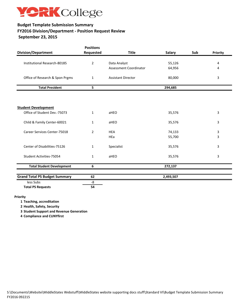

# **FY2016 Division/Department - Position Request Review September 23, 2015 Budget Template Submission Summary**

| <b>Division/Department</b>           | <b>Positions</b><br>Requested | <b>Title</b>                  | <b>Salary</b> | Sub | Priority |
|--------------------------------------|-------------------------------|-------------------------------|---------------|-----|----------|
|                                      |                               |                               |               |     |          |
| Institutional Research-80185         | $\overline{2}$                | Data Analyst                  | 55,126        |     | 4        |
|                                      |                               | <b>Assessment Coordinator</b> | 64,956        |     | 4        |
| Office of Research & Spon Prgms      | $\mathbf{1}$                  | <b>Assistant Director</b>     | 80,000        |     | 3        |
| <b>Total President</b>               | 5                             |                               | 294,685       |     |          |
|                                      |                               |                               |               |     |          |
| <b>Student Development</b>           |                               |                               |               |     |          |
| Office of Student Dev.-75073         | $\mathbf{1}$                  | aHEO                          | 35,576        |     | 3        |
| Child & Family Center-60021          | 1                             | aHEO                          | 35,576        |     | 3        |
| <b>Career Services Center-75018</b>  | 2                             | <b>HEA</b>                    | 74,133        |     | 3        |
|                                      |                               | HEa                           | 55,700        |     | 3        |
| Center of Disabilities-75126         | $\mathbf{1}$                  | Specialist                    | 35,576        |     | 3        |
| Student Activities-75054             | $\mathbf{1}$                  | aHEO                          | 35,576        |     | 3        |
| <b>Total Student Development</b>     | 6                             |                               | 272,137       |     |          |
| <b>Grand Total PS Budget Summary</b> | 62                            |                               | 2,493,507     |     |          |
| less Subs                            | -8                            |                               |               |     |          |
| <b>Total PS Requests</b>             | 54                            |                               |               |     |          |

#### **Priority**

**1 Teaching, accreditation** 

**2 Health, Safety, Security** 

**3 Student Support and Revenue Generation** 

**4 Compliance and CUNYfirst**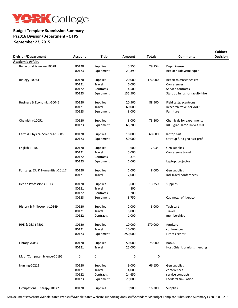

#### **Budget Template Submission Summary FY2016 Division/Department - OTPS September 23, 2015**

| <b>Division/Department</b>       | <b>Account</b> | <b>Title</b>    | Amount  | <b>Totals</b> | <b>Comments</b>                 | <b>Cabinet</b><br><b>Decision</b> |
|----------------------------------|----------------|-----------------|---------|---------------|---------------------------------|-----------------------------------|
| <b>Academic Affairs</b>          |                |                 |         |               |                                 |                                   |
| <b>Behavorial Sciences-10028</b> | 80120          | Supplies        | 5,755   | 29,154        | Dept License                    |                                   |
|                                  | 80123          | Equipment       | 23,399  |               | Replace Lafayette equip         |                                   |
|                                  |                |                 |         |               |                                 |                                   |
| Biology-10033                    | 80120          | <b>Supplies</b> | 20,000  | 176,000       | Repair microscopes etc          |                                   |
|                                  | 80121          | Travel          | 6,000   |               | Conferences                     |                                   |
|                                  | 80122          | Contracts       | 14,500  |               | Service contracts               |                                   |
|                                  | 80123          | Equipment       | 135,500 |               | Start up funds for faculty hire |                                   |
| Business & Economics-10042       | 80120          | <b>Supplies</b> | 20,500  | 88,500        | Field tests, scantrons          |                                   |
|                                  | 80121          | Travel          | 60,000  |               | Research travel for AACSB       |                                   |
|                                  | 80123          | Equipment       | 8,000   |               | Furniture                       |                                   |
| Chemistry-10051                  | 80120          | Supplies        | 8,000   | 73,200        | Chemicals for experiments       |                                   |
|                                  |                |                 |         |               |                                 |                                   |
|                                  | 80123          | Equipment       | 65,200  |               | R&D granulator, knives mill,    |                                   |
| Earth & Physical Sciences-10085  | 80120          | Supplies        | 18,000  | 68,000        | laptop cart                     |                                   |
|                                  | 80123          | Equipment       | 50,000  |               | start up fund geo asst prof     |                                   |
| English-10102                    | 80120          | Supplies        | 600     | 7,035         | Gen supplies                    |                                   |
|                                  | 80121          | Travel          | 5,000   |               | Conference travel               |                                   |
|                                  | 80122          | Contracts       | 375     |               |                                 |                                   |
|                                  | 80123          | Equipment       | 1,060   |               | Laptop, projector               |                                   |
|                                  |                |                 |         |               |                                 |                                   |
| For Lang, ESL & Humanities-10117 | 80120          | Supplies        | 1,000   | 8,000         | Gen supplies                    |                                   |
|                                  | 80121          | Travel          | 7,000   |               | Intl Travel conferences         |                                   |
| Health Professions-10135         | 80120          | Supplies        | 3,600   | 13,350        | supplies                        |                                   |
|                                  | 80121          | Travel          | 800     |               |                                 |                                   |
|                                  | 80122          | Contracts       | 200     |               |                                 |                                   |
|                                  | 80123          | Equipment       | 8,750   |               | Cabinets, refrigerator          |                                   |
|                                  |                |                 |         |               |                                 |                                   |
| History & Philosophy-10149       | 80120          | Supplies        | 2,000   | 8,000         | Tech cart                       |                                   |
|                                  | 80121          | Travel          | 5,000   |               | Travel                          |                                   |
|                                  | 80122          | Contracts       | 1,000   |               | memberships                     |                                   |
| HPE & GSS-67501                  | 80120          | Supplies        | 10,000  | 270,000       | furniture                       |                                   |
|                                  | 80121          | Travel          | 10,000  |               | conferences                     |                                   |
|                                  | 80123          | Equipment       | 250,000 |               | Fitness center                  |                                   |
| Library-70054                    | 80120          | <b>Supplies</b> | 50,000  | 75,000        | <b>Books</b>                    |                                   |
|                                  | 80121          | Travel          | 25,000  |               | Host Chief Librarians meeting   |                                   |
| Math/Computer Science-10195      | 0              | 0               | 0       | $\pmb{0}$     |                                 |                                   |
|                                  |                |                 |         |               |                                 |                                   |
| Nursing-10211                    | 80120          | <b>Supplies</b> | 9,000   | 66,650        | Gen supplies                    |                                   |
|                                  | 80121          | Travel          | 4,000   |               | conferences                     |                                   |
|                                  | 80122          | Contracts       | 24,650  |               | service contracts               |                                   |
|                                  | 80123          | Equipment       | 29,000  |               | Laederal simulation             |                                   |
| Occupational Therapy-10142       | 80120          | Supplies        | 9,900   | 16,200        | Supplies                        |                                   |
|                                  |                |                 |         |               |                                 |                                   |

S:\Documents\Website\MiddleStates Webstuff\MiddleStates website supporting docs stuff\Standard VI\Budget Template Submission Summary FY2016 092215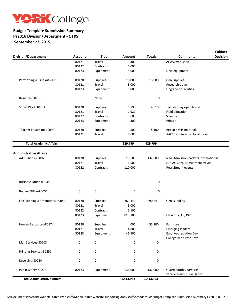

### **Budget Template Submission Summary FY2016 Division/Department - OTPS September 23, 2015**

|                                     |                |                 |           |               | <b>Cabinet</b>                                          |
|-------------------------------------|----------------|-----------------|-----------|---------------|---------------------------------------------------------|
| <b>Division/Department</b>          | <b>Account</b> | <b>Title</b>    | Amount    | <b>Totals</b> | <b>Decision</b><br><b>Comments</b>                      |
|                                     | 80121          | Travel          | 300       |               | AFWC workshop                                           |
|                                     | 80122          | Contracts       | 1,000     |               |                                                         |
|                                     | 80123          | Equipment       | 5,000     |               | New equipment                                           |
| Performing & Fine Arts-10115        | 80120          | <b>Supplies</b> | 10,000    | 18,000        | Gen Supplies                                            |
|                                     | 80121          | Travel          | 3,000     |               | Research travel                                         |
|                                     | 80123          | Equipment       | 5,000     |               | Upgrade of facilities                                   |
| Registrar-80268                     | $\pmb{0}$      | None            | 0         | $\pmb{0}$     |                                                         |
| Social Work-10281                   | 80120          | Supplies        | 1,790     | 4,610         | Transfer day open house                                 |
|                                     | 80121          | Travel          | 1,920     |               | Field education                                         |
|                                     | 80122          | Contracts       | 600       |               | Scantron                                                |
|                                     | 80123          | Equipment       | 300       |               | Printer                                                 |
| Teacher Education-10090             | 80120          | Supplies        | 500       | 8,100         | Replace VHS materials                                   |
|                                     | 80121          | Travel          | 7,600     |               | AACTE conference, local travel                          |
| <b>Total Academic Affairs</b>       |                |                 | 929,799   | 929,799       |                                                         |
|                                     |                |                 |           |               |                                                         |
| <b>Administrative Affairs</b>       |                |                 |           |               |                                                         |
| Admissions-75002                    | 80120          | Supplies        | 15,500    | 132,000       | New Admission packets, promotional                      |
|                                     | 80121          | Travel          | 6,500     |               | NACAC Conf, Recruitment travel                          |
|                                     | 80122          | Contracts       | 110,000   |               | Recruitment events                                      |
| <b>Business Office-80045</b>        | 0              | 0               | 0         | 0             |                                                         |
| Budget Office-80037                 | 0              | 0               | 0         | $\mathbf 0$   |                                                         |
| Fac Planning & Operations-80048     | 80120          | Supplies        | 263,440   | 1,090,643     | Genl supplies                                           |
|                                     | 80121          | Travel          | 3,000     |               |                                                         |
|                                     | 80122          | Contracts       | 5,100     |               |                                                         |
|                                     | 80123          | Equipment       | 819,103   |               | Elevators, AC, PAC                                      |
| Human Resources-80174               | 80120          | Supplies        | 4,000     | 55,300        | Furniture                                               |
|                                     | 80121          | Travel          | 4,800     |               | <b>Emerging leaders</b>                                 |
|                                     | 80123          | Equipment       | 46,500    |               | <b>Empl Appreciation Day</b><br>College-wide Prof Devel |
| Mail Services-80203                 | $\pmb{0}$      | $\pmb{0}$       | 0         | 0             |                                                         |
| Printing Services-80251             | 0              | 0               | 0         | 0             |                                                         |
| Receiving-80054                     | 0              | 0               | 0         | 0             |                                                         |
| Public Safety-80274                 | 80123          | Equipment       | 136,000   | 136,000       | Guard booths, cameras                                   |
|                                     |                |                 |           |               | vehicle equip, surveillance                             |
| <b>Total Administrative Affairs</b> |                |                 | 1,413,943 | 1,413,943     |                                                         |
|                                     |                |                 |           |               |                                                         |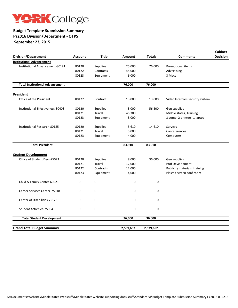

#### **Budget Template Submission Summary FY2016 Division/Department - OTPS September 23, 2015**

| <b>Division/Department</b>                                 | <b>Account</b> | <b>Title</b>  | <b>Amount</b> | <b>Totals</b> | <b>Comments</b>                | <b>Cabinet</b><br><b>Decision</b> |
|------------------------------------------------------------|----------------|---------------|---------------|---------------|--------------------------------|-----------------------------------|
| <b>Institutional Advancement</b>                           |                |               |               |               |                                |                                   |
| Institutional Advancement-80181                            | 80120          | Supplies      | 25,000        | 76,000        | <b>Promotional items</b>       |                                   |
|                                                            | 80122          | Contracts     | 45,000        |               | Advertising                    |                                   |
|                                                            | 80123          | Equipment     | 6,000         |               | 3 Macs                         |                                   |
| <b>Total Institutional Advancement</b>                     |                |               | 76,000        | 76,000        |                                |                                   |
| <b>President</b>                                           |                |               |               |               |                                |                                   |
| Office of the President                                    | 80122          | Contract      | 13,000        | 13,000        | Video Intercom security system |                                   |
| Institutional Effectiveness-80403                          | 80120          | Supplies      | 3,000         | 56,300        | Gen supplies                   |                                   |
|                                                            | 80121          | <b>Travel</b> | 45,300        |               | Middle states, Training        |                                   |
|                                                            | 80123          | Equipment     | 8,000         |               | 3 comp, 2 printers, 1 laptop   |                                   |
| Institutional Research-80185                               | 80120          | Supplies      | 5,610         | 14,610        | Surveys                        |                                   |
|                                                            | 80121          | Travel        | 5,000         |               | Confererences                  |                                   |
|                                                            | 80123          | Equipment     | 4,000         |               | Computers                      |                                   |
| <b>Total President</b>                                     |                |               | 83,910        | 83,910        |                                |                                   |
|                                                            |                |               |               |               |                                |                                   |
| <b>Student Development</b><br>Office of Student Dev.-75073 | 80120          | Supplies      | 8,000         | 36,000        | Gen supplies                   |                                   |
|                                                            | 80121          | Travel        | 12,000        |               | Prof Development               |                                   |
|                                                            | 80122          | Contracts     | 12,000        |               | Publicity materials, training  |                                   |
|                                                            | 80123          | Equipment     | 4,000         |               | Plasma screen conf room        |                                   |
| Child & Family Center-60021                                | 0              | $\mathbf 0$   | 0             | 0             |                                |                                   |
| Career Services Center-75018                               | $\mathbf 0$    | $\mathbf 0$   | 0             | $\mathbf 0$   |                                |                                   |
| Center of Disabilities-75126                               | 0              | $\mathbf 0$   | 0             | 0             |                                |                                   |
| Student Activities-75054                                   | $\mathbf 0$    | $\mathbf 0$   | $\mathbf 0$   | $\mathbf 0$   |                                |                                   |
| <b>Total Student Development</b>                           |                |               | 36,000        | 36,000        |                                |                                   |
|                                                            |                |               |               |               |                                |                                   |
| <b>Grand Total Budget Summary</b>                          |                |               | 2,539,652     | 2,539,652     |                                |                                   |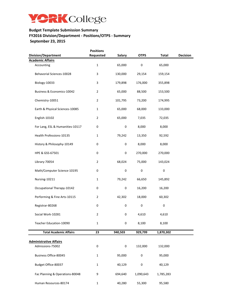

#### **Budget Template Submission Summary FY2016 Division/Department - Positions/OTPS - Summary September 23, 2015**

| <b>Division/Department</b>       | <b>Positions</b><br>Requested | <b>Salary</b> | <b>OTPS</b> | <b>Total</b> | Decision |
|----------------------------------|-------------------------------|---------------|-------------|--------------|----------|
| <b>Academic Affairs</b>          |                               |               |             |              |          |
| Accounting                       | $\mathbf{1}$                  | 65,000        | $\pmb{0}$   | 65,000       |          |
| Behavorial Sciences-10028        | 3                             | 130,000       | 29,154      | 159,154      |          |
| Biology-10033                    | 3                             | 179,898       | 176,000     | 355,898      |          |
| Business & Economics-10042       | $\overline{2}$                | 65,000        | 88,500      | 153,500      |          |
| Chemistry-10051                  | $\overline{2}$                | 101,795       | 73,200      | 174,995      |          |
| Earth & Physical Sciences-10085  | $\mathbf 1$                   | 65,000        | 68,000      | 133,000      |          |
| English-10102                    | $\overline{2}$                | 65,000        | 7,035       | 72,035       |          |
| For Lang, ESL & Humanities-10117 | $\boldsymbol{0}$              | 0             | 8,000       | 8,000        |          |
| Health Professions-10135         | $\mathbf{1}$                  | 79,242        | 13,350      | 92,592       |          |
| History & Philosophy-10149       | $\boldsymbol{0}$              | 0             | 8,000       | 8,000        |          |
| HPE & GSS-67501                  | 0                             | 0             | 270,000     | 270,000      |          |
| Library-70054                    | $\overline{2}$                | 68,024        | 75,000      | 143,024      |          |
| Math/Computer Science-10195      | 0                             | $\pmb{0}$     | $\pmb{0}$   | $\pmb{0}$    |          |
| Nursing-10211                    | $\mathbf{1}$                  | 79,242        | 66,650      | 145,892      |          |
| Occupational Therapy-10142       | 0                             | $\pmb{0}$     | 16,200      | 16,200       |          |
| Performing & Fine Arts-10115     | $\overline{2}$                | 42,302        | 18,000      | 60,302       |          |
| Registrar-80268                  | $\pmb{0}$                     | $\pmb{0}$     | $\pmb{0}$   | $\pmb{0}$    |          |
| Social Work-10281                | $\overline{2}$                | 0             | 4,610       | 4,610        |          |
| Teacher Education-10090          | 1                             | $\pmb{0}$     | 8,100       | 8,100        |          |
|                                  |                               |               |             |              |          |
| <b>Total Academic Affairs</b>    | 23                            | 940,503       | 929,799     | 1,870,302    |          |
|                                  |                               |               |             |              |          |
| <b>Administrative Affairs</b>    | $\pmb{0}$                     | 0             |             |              |          |
| Admissions-75002                 |                               |               | 132,000     | 132,000      |          |
| <b>Business Office-80045</b>     | $\mathbf{1}$                  | 95,000        | $\pmb{0}$   | 95,000       |          |
| Budget Office-80037              | $\mathbf{1}$                  | 40,129        | $\pmb{0}$   | 40,129       |          |
| Fac Planning & Operations-80048  | 9                             | 694,640       | 1,090,643   | 1,785,283    |          |
| Human Resources-80174            | $\mathbf 1$                   | 40,280        | 55,300      | 95,580       |          |